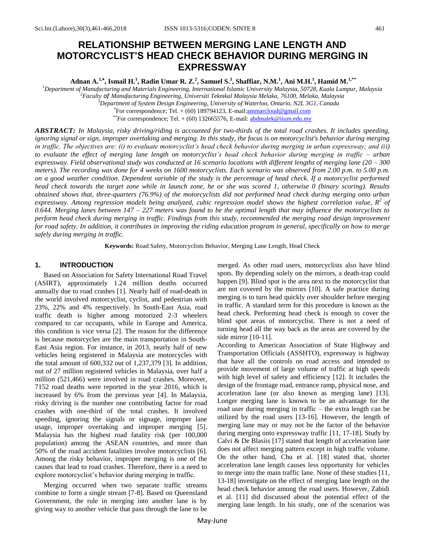# **RELATIONSHIP BETWEEN MERGING LANE LENGTH AND MOTORCYCLIST'S HEAD CHECK BEHAVIOR DURING MERGING IN EXPRESSWAY**

**Adnan A.1, , Ismail H.<sup>1</sup> , Radin Umar R. Z.<sup>2</sup> , Samuel S.<sup>3</sup> , Shaffiar, N.M.<sup>1</sup> , Ani M.H.<sup>1</sup> , Hamid M.1,\*\***

*Department of Manufacturing and Materials Engineering, International Islamic University Malaysia, 50728, Kuala Lumpur, Malaysia Faculty of Manufacturing Engineering, Universiti Teknikal Malaysia Melaka, 76100, Melaka, Malaysia Department of System Design Engineering, University of Waterloo, Ontario, N2L 3G1, Canada* For correspondence; Tel. + (60) 189794123, E-mail[:ammarcloud@gmail.com](mailto:ammarcloud@gmail.com)

\*\*For correspondence; Tel.  $+$  (60) 132665576, E-mail: **abdmalek@iium.edu.my** 

*ABSTRACT: In Malaysia, risky driving/riding is accounted for two-thirds of the total road crashes. It includes speeding, ignoring signal or sign, improper overtaking and merging. In this study, the focus is on motorcyclist's behavior during merging in traffic. The objectives are: (i) to evaluate motorcyclist's head check behavior during merging in urban expressway; and (ii) to evaluate the effect of merging lane length on motorcyclist's head check behavior during merging in traffic – urban expressway. Field observational study was conducted at 16 scenario locations with different lengths of merging lane (20 – 300 meters). The recording was done for 4 weeks on 1600 motorcyclists. Each scenario was observed from 2.00 p.m. to 5.00 p.m. on a good weather condition. Dependent variable of the study is the percentage of head check. If a motorcyclist performed head check towards the target zone while in launch zone, he or she was scored 1, otherwise 0 (binary scoring). Results obtained shows that, three-quarters (76.9%) of the motorcyclists did not performed head check during merging onto urban expressway. Among regression models being analyzed, cubic regression model shows the highest correlation value, R<sup>2</sup> of 0.644. Merging lanes between 147 – 227 meters was found to be the optimal length that may influence the motorcyclists to perform head check during merging in traffic. Findings from this study, recommended the merging road design improvement for road safety. In addition, it contributes in improving the riding education program in general, specifically on how to merge safely during merging in traffic.*

**Keywords:** Road Safety, Motorcyclists Behavior, Merging Lane Length, Head Check

## **1. INTRODUCTION**

 Based on Association for Safety International Road Travel (ASIRT), approximately 1.24 million deaths occurred annually due to road crashes [1]. Nearly half of road-death in the world involved motorcyclist, cyclist, and pedestrian with 23%, 22% and 4% respectively. In South-East Asia, road traffic death is higher among motorized 2-3 wheelers compared to car occupants, while in Europe and America, this condition is vice versa [2]. The reason for the difference is because motorcycles are the main transportation in South-East Asia region. For instance, in 2013, nearly half of new vehicles being registered in Malaysia are motorcycles with the total amount of 600,332 out of 1,237,379 [3]. In addition, out of 27 million registered vehicles in Malaysia, over half a million (521,466) were involved in road crashes. Moreover, 7152 road deaths were reported in the year 2016, which is increased by 6% from the previous year [4]. In Malaysia, risky driving is the number one contributing factor for road crashes with one-third of the total crashes. It involved speeding, ignoring the signals or signage, improper lane usage, improper overtaking and improper merging [5]. Malaysia has the highest road fatality risk (per 100,000 population) among the ASEAN countries, and more than 50% of the road accident fatalities involve motorcyclists [6]. Among the risky behavior, improper merging is one of the causes that lead to road crashes. Therefore, there is a need to explore motorcyclist's behavior during merging in traffic.

 Merging occurred when two separate traffic streams combine to form a single stream [7-8]. Based on Queensland Government, the rule in merging into another lane is by giving way to another vehicle that pass through the lane to be

merged. As other road users, motorcyclists also have blind spots. By depending solely on the mirrors, a death-trap could happen [9]. Blind spot is the area next to the motorcyclist that are not covered by the mirrors [10]. A safe practice during merging is to turn head quickly over shoulder before merging in traffic. A standard term for this procedure is known as the head check. Performing head check is enough to cover the blind spot areas of motorcyclist. There is not a need of turning head all the way back as the areas are covered by the side mirror [10-11].

According to American Association of State Highway and Transportation Officials (ASSHTO), expressway is highway that have all the controls on road access and intended to provide movement of large volume of traffic at high speeds with high level of safety and efficiency [12]. It includes the design of the frontage road, entrance ramp, physical nose, and acceleration lane (or also known as merging lane) [13]. Longer merging lane is known to be an advantage for the road user during merging in traffic – the extra length can be utilized by the road users [13-16]. However, the length of merging lane may or may not be the factor of the behavior during merging onto expressway traffic [11, 17-18]. Study by Calvi & De Blasiis [17] stated that length of acceleration lane does not affect merging pattern except in high traffic volume. On the other hand, Chu et al. [18] stated that, shorter acceleration lane length causes less opportunity for vehicles to merge into the main traffic lane. None of these studies [11, 13-18] investigate on the effect of merging lane length on the head check behavior among the road users. However, Zabidi et al. [11] did discussed about the potential effect of the merging lane length. In his study, one of the scenarios was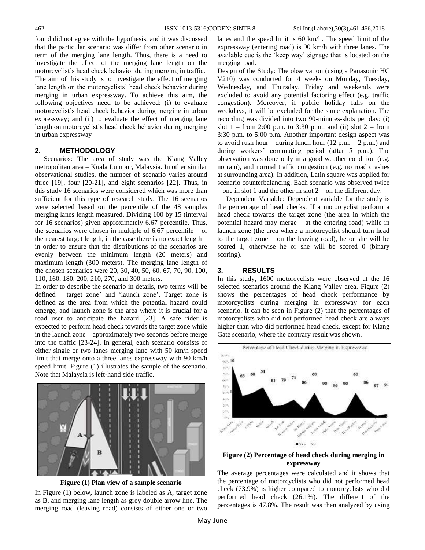found did not agree with the hypothesis, and it was discussed that the particular scenario was differ from other scenario in term of the merging lane length. Thus, there is a need to investigate the effect of the merging lane length on the motorcyclist's head check behavior during merging in traffic. The aim of this study is to investigate the effect of merging lane length on the motorcyclists' head check behavior during merging in urban expressway. To achieve this aim, the following objectives need to be achieved: (i) to evaluate motorcyclist's head check behavior during merging in urban expressway; and (ii) to evaluate the effect of merging lane length on motorcyclist's head check behavior during merging in urban expressway

## **2. METHODOLOGY**

 Scenarios: The area of study was the Klang Valley metropolitan area – Kuala Lumpur, Malaysia. In other similar observational studies, the number of scenario varies around three [19[, four [20-21], and eight scenarios [22]. Thus, in this study 16 scenarios were considered which was more than sufficient for this type of research study. The 16 scenarios were selected based on the percentile of the 48 samples merging lanes length measured. Dividing 100 by 15 (interval for 16 scenarios) given approximately 6.67 percentile. Thus, the scenarios were chosen in multiple of 6.67 percentile – or the nearest target length, in the case there is no exact length – in order to ensure that the distributions of the scenarios are evenly between the minimum length (20 meters) and maximum length (300 meters). The merging lane length of the chosen scenarios were 20, 30, 40, 50, 60, 67, 70, 90, 100, 110, 160, 180, 200, 210, 270, and 300 meters.

In order to describe the scenario in details, two terms will be defined – target zone' and 'launch zone'. Target zone is defined as the area from which the potential hazard could emerge, and launch zone is the area where it is crucial for a road user to anticipate the hazard [23]. A safe rider is expected to perform head check towards the target zone while in the launch zone – approximately two seconds before merge into the traffic [23-24]. In general, each scenario consists of either single or two lanes merging lane with 50 km/h speed limit that merge onto a three lanes expressway with 90 km/h speed limit. Figure (1) illustrates the sample of the scenario. Note that Malaysia is left-hand side traffic.



**Figure (1) Plan view of a sample scenario**

In Figure (1) below, launch zone is labeled as A, target zone as B, and merging lane length as grey double arrow line. The merging road (leaving road) consists of either one or two

lanes and the speed limit is 60 km/h. The speed limit of the expressway (entering road) is 90 km/h with three lanes. The available cue is the 'keep way' signage that is located on the merging road.

Design of the Study: The observation (using a Panasonic HC V210) was conducted for 4 weeks on Monday, Tuesday, Wednesday, and Thursday. Friday and weekends were excluded to avoid any potential factoring effect (e.g. traffic congestion). Moreover, if public holiday falls on the weekdays, it will be excluded for the same explanation. The recording was divided into two 90-minutes-slots per day: (i) slot  $1 -$  from 2:00 p.m. to 3:30 p.m.; and (ii) slot  $2 -$  from 3:30 p.m. to 5:00 p.m. Another important design aspect was to avoid rush hour – during lunch hour  $(12 \text{ p.m.} - 2 \text{ p.m.})$  and during workers' commuting period (after 5 p.m.). The observation was done only in a good weather condition (e.g. no rain), and normal traffic congestion (e.g. no road crashes at surrounding area). In addition, Latin square was applied for scenario counterbalancing. Each scenario was observed twice – one in slot 1 and the other in slot  $2$  – on the different day.

 Dependent Variable: Dependent variable for the study is the percentage of head checks. If a motorcyclist perform a head check towards the target zone (the area in which the potential hazard may merge – at the entering road) while in launch zone (the area where a motorcyclist should turn head to the target zone – on the leaving road), he or she will be scored 1, otherwise he or she will be scored 0 (binary scoring).

## **3. RESULTS**

In this study, 1600 motorcyclists were observed at the 16 selected scenarios around the Klang Valley area. Figure (2) shows the percentages of head check performance by motorcyclists during merging in expressway for each scenario. It can be seen in Figure (2) that the percentages of motorcyclists who did not performed head check are always higher than who did performed head check, except for Klang Gate scenario, where the contrary result was shown.



**Figure (2) Percentage of head check during merging in expressway**

The average percentages were calculated and it shows that the percentage of motorcyclists who did not performed head check (73.9%) is higher compared to motorcyclists who did performed head check (26.1%). The different of the percentages is 47.8%. The result was then analyzed by using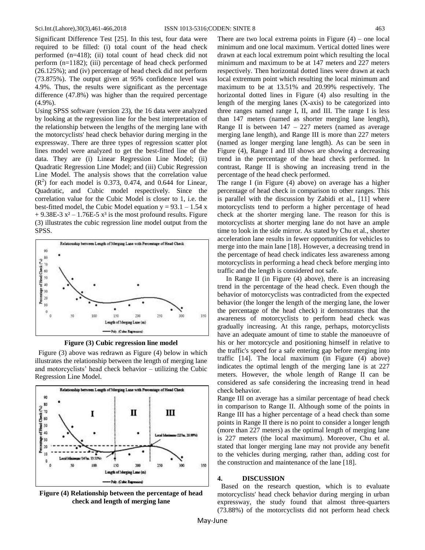Significant Difference Test [25]. In this test, four data were required to be filled: (i) total count of the head check performed (n=418); (ii) total count of head check did not perform (n=1182); (iii) percentage of head check performed (26.125%); and (iv) percentage of head check did not perform (73.875%). The output given at 95% confidence level was 4.9%. Thus, the results were significant as the percentage difference (47.8%) was higher than the required percentage (4.9%).

Using SPSS software (version 23), the 16 data were analyzed by looking at the regression line for the best interpretation of the relationship between the lengths of the merging lane with the motorcyclists' head check behavior during merging in the expressway. There are three types of regression scatter plot lines model were analyzed to get the best-fitted line of the data. They are (i) Linear Regression Line Model; (ii) Quadratic Regression Line Model; and (iii) Cubic Regression Line Model. The analysis shows that the correlation value  $(R<sup>2</sup>)$  for each model is 0.373, 0.474, and 0.644 for Linear, Quadratic, and Cubic model respectively. Since the correlation value for the Cubic Model is closer to 1, i.e. the best-fitted model, the Cubic Model equation  $y = 93.1 - 1.54$  x  $+ 9.38E-3 x^2 - 1.76E-5 x^3$  is the most profound results. Figure (3) illustrates the cubic regression line model output from the SPSS.



**Figure (3) Cubic regression line model**

Figure (3) above was redrawn as Figure (4) below in which illustrates the relationship between the length of merging lane and motorcyclists' head check behavior – utilizing the Cubic Regression Line Model.



**Figure (4) Relationship between the percentage of head check and length of merging lane**

There are two local extrema points in Figure  $(4)$  – one local minimum and one local maximum. Vertical dotted lines were drawn at each local extremum point which resulting the local minimum and maximum to be at 147 meters and 227 meters respectively. Then horizontal dotted lines were drawn at each local extremum point which resulting the local minimum and maximum to be at 13.51% and 20.99% respectively. The horizontal dotted lines in Figure (4) also resulting in the length of the merging lanes (X-axis) to be categorized into three ranges named range I, II, and III. The range I is less than 147 meters (named as shorter merging lane length), Range II is between  $147 - 227$  meters (named as average merging lane length), and Range III is more than 227 meters (named as longer merging lane length). As can be seen in Figure (4), Range I and III shows are showing a decreasing trend in the percentage of the head check performed. In contrast, Range II is showing an increasing trend in the percentage of the head check performed.

The range I (in Figure (4) above) on average has a higher percentage of head check in comparison to other ranges. This is parallel with the discussion by Zabidi et al., [11] where motorcyclists tend to perform a higher percentage of head check at the shorter merging lane. The reason for this is motorcyclists at shorter merging lane do not have an ample time to look in the side mirror. As stated by Chu et al., shorter acceleration lane results in fewer opportunities for vehicles to merge into the main lane [18]. However, a decreasing trend in the percentage of head check indicates less awareness among motorcyclists in performing a head check before merging into traffic and the length is considered not safe.

 In Range II (in Figure (4) above), there is an increasing trend in the percentage of the head check. Even though the behavior of motorcyclists was contradicted from the expected behavior (the longer the length of the merging lane, the lower the percentage of the head check) it demonstrates that the awareness of motorcyclists to perform head check was gradually increasing. At this range, perhaps, motorcyclists have an adequate amount of time to stable the manoeuvre of his or her motorcycle and positioning himself in relative to the traffic's speed for a safe entering gap before merging into traffic [14]. The local maximum (in Figure (4) above) indicates the optimal length of the merging lane is at 227 meters. However, the whole length of Range II can be considered as safe considering the increasing trend in head check behavior.

Range III on average has a similar percentage of head check in comparison to Range II. Although some of the points in Range III has a higher percentage of a head check than some points in Range II there is no point to consider a longer length (more than 227 meters) as the optimal length of merging lane is 227 meters (the local maximum). Moreover, Chu et al. stated that longer merging lane may not provide any benefit to the vehicles during merging, rather than, adding cost for the construction and maintenance of the lane [18].

#### **4. DISCUSSION**

 Based on the research question, which is to evaluate motorcyclists' head check behavior during merging in urban expressway, the study found that almost three-quarters (73.88%) of the motorcyclists did not perform head check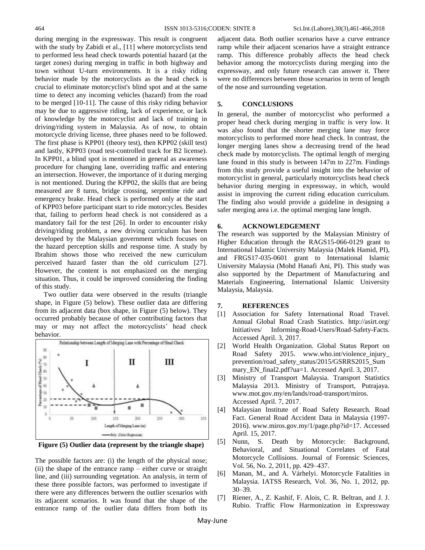during merging in the expressway. This result is congruent with the study by Zabidi et al., [11] where motorcyclists tend to performed less head check towards potential hazard (at the target zones) during merging in traffic in both highway and town without U-turn environments. It is a risky riding behavior made by the motorcyclists as the head check is crucial to eliminate motorcyclist's blind spot and at the same time to detect any incoming vehicles (hazard) from the road to be merged [10-11]. The cause of this risky riding behavior may be due to aggressive riding, lack of experience, or lack of knowledge by the motorcyclist and lack of training in driving/riding system in Malaysia. As of now, to obtain motorcycle driving license, three phases need to be followed. The first phase is KPP01 (theory test), then KPP02 (skill test) and lastly, KPP03 (road test-controlled track for B2 license). In KPP01, a blind spot is mentioned in general as awareness procedure for changing lane, overriding traffic and entering an intersection. However, the importance of it during merging is not mentioned. During the KPP02, the skills that are being measured are 8 turns, bridge crossing, serpentine ride and emergency brake. Head check is performed only at the start of KPP03 before participant start to ride motorcycles. Besides that, failing to perform head check is not considered as a mandatory fail for the test [26]. In order to encounter risky driving/riding problem, a new driving curriculum has been developed by the Malaysian government which focuses on the hazard perception skills and response time. A study by Ibrahim shows those who received the new curriculum perceived hazard faster than the old curriculum [27]. However, the content is not emphasized on the merging situation. Thus, it could be improved considering the finding of this study.

 Two outlier data were observed in the results (triangle shape, in Figure (5) below). These outlier data are differing from its adjacent data (box shape, in Figure (5) below). They occurred probably because of other contributing factors that may or may not affect the motorcyclists' head check behavior.



**Figure (5) Outlier data (represent by the triangle shape)**

The possible factors are: (i) the length of the physical nose; (ii) the shape of the entrance ramp – either curve or straight line, and (iii) surrounding vegetation. An analysis, in term of these three possible factors, was performed to investigate if there were any differences between the outlier scenarios with its adjacent scenarios. It was found that the shape of the entrance ramp of the outlier data differs from both its adjacent data. Both outlier scenarios have a curve entrance ramp while their adjacent scenarios have a straight entrance ramp. This difference probably affects the head check behavior among the motorcyclists during merging into the expressway, and only future research can answer it. There were no differences between those scenarios in term of length of the nose and surrounding vegetation.

#### **5. CONCLUSIONS**

In general, the number of motorcyclist who performed a proper head check during merging in traffic is very low. It was also found that the shorter merging lane may force motorcyclists to performed more head check. In contrast, the longer merging lanes show a decreasing trend of the head check made by motorcyclists. The optimal length of merging lane found in this study is between 147m to 227m. Findings from this study provide a useful insight into the behavior of motorcyclist in general, particularly motorcyclists head check behavior during merging in expressway, in which, would assist in improving the current riding education curriculum. The finding also would provide a guideline in designing a safer merging area i.e. the optimal merging lane length.

## **6. ACKNOWLEDGEMENT**

The research was supported by the Malaysian Ministry of Higher Education through the RAGS15-066-0129 grant to International Islamic University Malaysia (Malek Hamid, PI), and FRGS17-035-0601 grant to International Islamic University Malaysia (Mohd Hanafi Ani, PI). This study was also supported by the Department of Manufacturing and Materials Engineering, International Islamic University Malaysia, Malaysia.

### **7. REFERENCES**

- [1] Association for Safety International Road Travel. Annual Global Road Crash Statistics. http://asirt.org/ Initiatives/ Informing-Road-Users/Road-Safety-Facts. Accessed April. 3, 2017.
- [2] World Health Organization. Global Status Report on Road Safety 2015. www.who.int/violence\_injury\_ prevention/road\_safety\_status/2015/GSRRS2015\_Sum mary\_EN\_final2.pdf?ua=1. Accessed April. 3, 2017.
- [3] Ministry of Transport Malaysia. Transport Statistics Malaysia 2013. Ministry of Transport, Putrajaya. www.mot.gov.my/en/lands/road-transport/miros. Accessed April. 7, 2017.
- [4] Malaysian Institute of Road Safety Research. Road Fact. General Road Accident Data in Malaysia (1997- 2016). www.miros.gov.my/1/page.php?id=17. Accessed April. 15, 2017.
- [5] Nunn, S. Death by Motorcycle: Background, Behavioral, and Situational Correlates of Fatal Motorcycle Collisions. Journal of Forensic Sciences, Vol. 56, No. 2, 2011, pp. 429–437.
- [6] Manan, M., and A. Várhelyi. Motorcycle Fatalities in Malaysia. IATSS Research, Vol. 36, No. 1, 2012, pp. 30–39.
- [7] Riener, A., Z. Kashif, F. Alois, C. R. Beltran, and J. J. Rubio. Traffic Flow Harmonization in Expressway